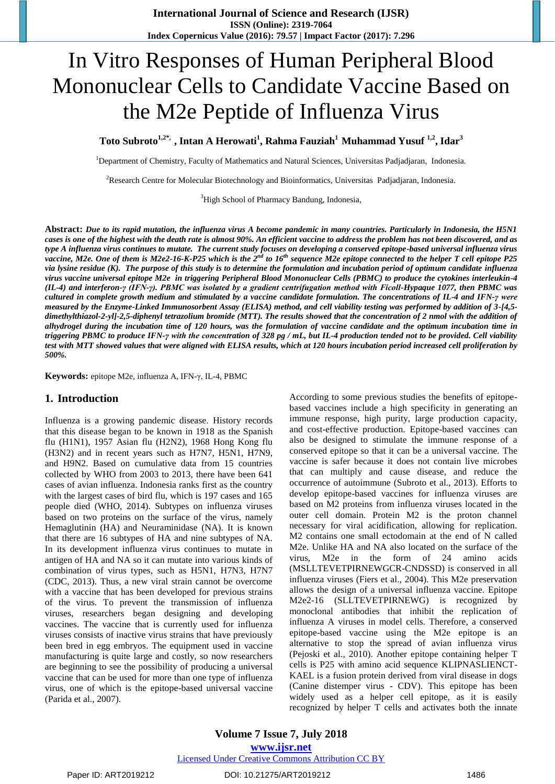# In Vitro Responses of Human Peripheral Blood Mononuclear Cells to Candidate Vaccine Based on the M2e Peptide of Influenza Virus

**Toto Subroto1,2\*, , Intan A Herowati<sup>1</sup> , Rahma Fauziah<sup>1</sup>Muhammad Yusuf 1,2 , Idar<sup>3</sup>**

<sup>1</sup>Department of Chemistry, Faculty of Mathematics and Natural Sciences, Universitas Padjadjaran, Indonesia.

<sup>2</sup>Research Centre for Molecular Biotechnology and Bioinformatics, Universitas Padjadjaran, Indonesia.

<sup>3</sup>High School of Pharmacy Bandung, Indonesia,

**Abstract:** *Due to its rapid mutation, the influenza virus A become pandemic in many countries. Particularly in Indonesia, the H5N1 cases is one of the highest with the death rate is almost 90%. An efficient vaccine to address the problem has not been discovered, and as type A influenza virus continues to mutate. The current study focuses on developing a conserved epitope-based universal influenza virus vaccine, M2e. One of them is M2e2-16-K-P25 which is the 2nd to 16th sequence M2e epitope connected to the helper T cell epitope P25 via lysine residue (K). The purpose of this study is to determine the formulation and incubation period of optimum candidate influenza virus vaccine universal epitope M2e in triggering Peripheral Blood Mononuclear Cells (PBMC) to produce the cytokines interleukin-4 (IL-4) and interferon-γ (IFN-γ). PBMC was isolated by a gradient centrifugation method with Ficoll-Hypaque 1077, then PBMC was cultured in complete growth medium and stimulated by a vaccine candidate formulation. The concentrations of IL-4 and IFN-γ were measured by the Enzyme-Linked Immunosorbent Assay (ELISA) method, and cell viability testing was performed by addition of 3-[4,5 dimethylthiazol-2-yl]-2,5-diphenyl tetrazolium bromide (MTT). The results showed that the concentration of 2 nmol with the addition of alhydrogel during the incubation time of 120 hours, was the formulation of vaccine candidate and the optimum incubation time in triggering PBMC to produce IFN-γ with the concentration of 328 pg / mL, but IL-4 production tended not to be provided. Cell viability test with MTT showed values that were aligned with ELISA results, which at 120 hours incubation period increased cell proliferation by 500%.*

**Keywords:** epitope M2e, influenza A, IFN-γ, IL-4, PBMC

## **1. Introduction**

Influenza is a growing pandemic disease. History records that this disease began to be known in 1918 as the Spanish flu (H1N1), 1957 Asian flu (H2N2), 1968 Hong Kong flu (H3N2) and in recent years such as H7N7, H5N1, H7N9, and H9N2. Based on cumulative data from 15 countries collected by WHO from 2003 to 2013, there have been 641 cases of avian influenza. Indonesia ranks first as the country with the largest cases of bird flu, which is 197 cases and 165 people died (WHO, 2014). Subtypes on influenza viruses based on two proteins on the surface of the virus, namely Hemaglutinin (HA) and Neuraminidase (NA). It is known that there are 16 subtypes of HA and nine subtypes of NA. In its development influenza virus continues to mutate in antigen of HA and NA so it can mutate into various kinds of combination of virus types, such as H5N1, H7N3, H7N7 (CDC, 2013). Thus, a new viral strain cannot be overcome with a vaccine that has been developed for previous strains of the virus. To prevent the transmission of influenza viruses, researchers began designing and developing vaccines. The vaccine that is currently used for influenza viruses consists of inactive virus strains that have previously been bred in egg embryos. The equipment used in vaccine manufacturing is quite large and costly, so now researchers are beginning to see the possibility of producing a universal vaccine that can be used for more than one type of influenza virus, one of which is the epitope-based universal vaccine (Parida et al., 2007).

According to some previous studies the benefits of epitopebased vaccines include a high specificity in generating an immune response, high purity, large production capacity, and cost-effective production. Epitope-based vaccines can also be designed to stimulate the immune response of a conserved epitope so that it can be a universal vaccine. The vaccine is safer because it does not contain live microbes that can multiply and cause disease, and reduce the occurrence of autoimmune (Subroto et al., 2013). Efforts to develop epitope-based vaccines for influenza viruses are based on M2 proteins from influenza viruses located in the outer cell domain. Protein M2 is the proton channel necessary for viral acidification, allowing for replication. M2 contains one small ectodomain at the end of N called M2e. Unlike HA and NA also located on the surface of the virus, M2e in the form of 24 amino acids (MSLLTEVETPIRNEWGCR-CNDSSD) is conserved in all influenza viruses (Fiers et al., 2004). This M2e preservation allows the design of a universal influenza vaccine. Epitope M2e2-16 (SLLTEVETPIRNEWG) is recognized by monoclonal antibodies that inhibit the replication of influenza A viruses in model cells. Therefore, a conserved epitope-based vaccine using the M2e epitope is an alternative to stop the spread of avian influenza virus (Pejoski et al., 2010). Another epitope containing helper T cells is P25 with amino acid sequence KLIPNASLIENCT-KAEL is a fusion protein derived from viral disease in dogs (Canine distemper virus - CDV). This epitope has been widely used as a helper cell epitope, as it is easily recognized by helper T cells and activates both the innate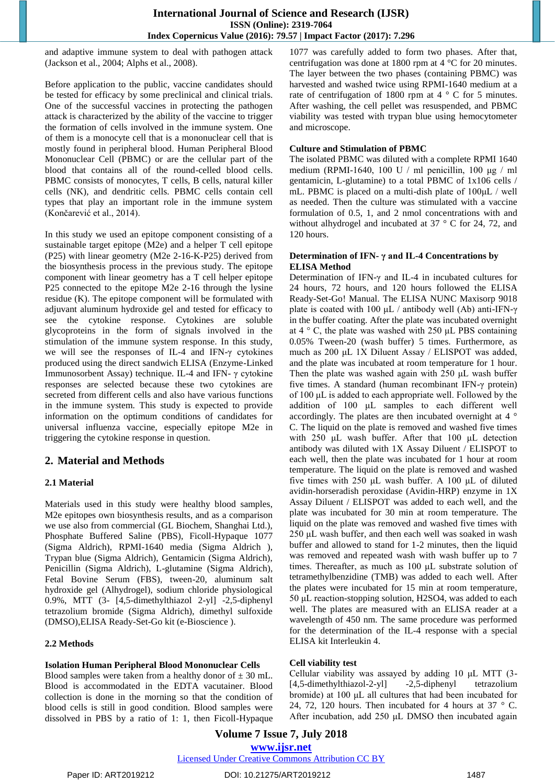and adaptive immune system to deal with pathogen attack (Jackson et al., 2004; Alphs et al., 2008).

Before application to the public, vaccine candidates should be tested for efficacy by some preclinical and clinical trials. One of the successful vaccines in protecting the pathogen attack is characterized by the ability of the vaccine to trigger the formation of cells involved in the immune system. One of them is a monocyte cell that is a mononuclear cell that is mostly found in peripheral blood. Human Peripheral Blood Mononuclear Cell (PBMC) or are the cellular part of the blood that contains all of the round-celled blood cells. PBMC consists of monocytes, T cells, B cells, natural killer cells (NK), and dendritic cells. PBMC cells contain cell types that play an important role in the immune system (Končarević et al., 2014).

In this study we used an epitope component consisting of a sustainable target epitope (M2e) and a helper T cell epitope (P25) with linear geometry (M2e 2-16-K-P25) derived from the biosynthesis process in the previous study. The epitope component with linear geometry has a T cell helper epitope P25 connected to the epitope M2e 2-16 through the lysine residue (K). The epitope component will be formulated with adjuvant aluminum hydroxide gel and tested for efficacy to see the cytokine response. Cytokines are soluble glycoproteins in the form of signals involved in the stimulation of the immune system response. In this study, we will see the responses of IL-4 and IFN-γ cytokines produced using the direct sandwich ELISA (Enzyme-Linked Immunosorbent Assay) technique. IL-4 and IFN- γ cytokine responses are selected because these two cytokines are secreted from different cells and also have various functions in the immune system. This study is expected to provide information on the optimum conditions of candidates for universal influenza vaccine, especially epitope M2e in triggering the cytokine response in question.

## **2. Material and Methods**

## **2.1 Material**

Materials used in this study were healthy blood samples, M2e epitopes own biosynthesis results, and as a comparison we use also from commercial (GL Biochem, Shanghai Ltd.), Phosphate Buffered Saline (PBS), Ficoll-Hypaque 1077 (Sigma Aldrich), RPMI-1640 media (Sigma Aldrich ), Trypan blue (Sigma Aldrich), Gentamicin (Sigma Aldrich), Penicillin (Sigma Aldrich), L-glutamine (Sigma Aldrich), Fetal Bovine Serum (FBS), tween-20, aluminum salt hydroxide gel (Alhydrogel), sodium chloride physiological 0.9%, MTT (3- [4,5-dimethylthiazol 2-yl] -2,5-diphenyl tetrazolium bromide (Sigma Aldrich), dimethyl sulfoxide (DMSO),ELISA Ready-Set-Go kit (e-Bioscience ).

## **2.2 Methods**

## **Isolation Human Peripheral Blood Mononuclear Cells**

Blood samples were taken from a healthy donor of  $\pm$  30 mL. Blood is accommodated in the EDTA vacutainer. Blood collection is done in the morning so that the condition of blood cells is still in good condition. Blood samples were dissolved in PBS by a ratio of 1: 1, then Ficoll-Hypaque

1077 was carefully added to form two phases. After that, centrifugation was done at 1800 rpm at 4 °C for 20 minutes. The layer between the two phases (containing PBMC) was harvested and washed twice using RPMI-1640 medium at a rate of centrifugation of 1800 rpm at 4  $\degree$  C for 5 minutes. After washing, the cell pellet was resuspended, and PBMC viability was tested with trypan blue using hemocytometer and microscope.

## **Culture and Stimulation of PBMC**

The isolated PBMC was diluted with a complete RPMI 1640 medium (RPMI-1640, 100 U / ml penicillin, 100 μg / ml gentamicin, L-glutamine) to a total PBMC of 1x106 cells / mL. PBMC is placed on a multi-dish plate of 100μL / well as needed. Then the culture was stimulated with a vaccine formulation of 0.5, 1, and 2 nmol concentrations with and without alhydrogel and incubated at 37 ° C for 24, 72, and 120 hours.

#### **Determination of IFN- γ and IL-4 Concentrations by ELISA Method**

Determination of IFN-γ and IL-4 in incubated cultures for 24 hours, 72 hours, and 120 hours followed the ELISA Ready-Set-Go! Manual. The ELISA NUNC Maxisorp 9018 plate is coated with 100 μL / antibody well (Ab) anti-IFN-γ in the buffer coating. After the plate was incubated overnight at  $4 \degree$  C, the plate was washed with 250 μL PBS containing 0.05% Tween-20 (wash buffer) 5 times. Furthermore, as much as 200 μL 1X Diluent Assay / ELISPOT was added, and the plate was incubated at room temperature for 1 hour. Then the plate was washed again with 250 μL wash buffer five times. A standard (human recombinant IFN-γ protein) of 100 μL is added to each appropriate well. Followed by the addition of 100 μL samples to each different well accordingly. The plates are then incubated overnight at 4 ° C. The liquid on the plate is removed and washed five times with 250 μL wash buffer. After that 100 μL detection antibody was diluted with 1X Assay Diluent / ELISPOT to each well, then the plate was incubated for 1 hour at room temperature. The liquid on the plate is removed and washed five times with 250 μL wash buffer. A 100 μL of diluted avidin-horseradish peroxidase (Avidin-HRP) enzyme in 1X Assay Diluent / ELISPOT was added to each well, and the plate was incubated for 30 min at room temperature. The liquid on the plate was removed and washed five times with 250 μL wash buffer, and then each well was soaked in wash buffer and allowed to stand for 1-2 minutes, then the liquid was removed and repeated wash with wash buffer up to 7 times. Thereafter, as much as 100 μL substrate solution of tetramethylbenzidine (TMB) was added to each well. After the plates were incubated for 15 min at room temperature, 50 μL reaction-stopping solution, H2SO4, was added to each well. The plates are measured with an ELISA reader at a wavelength of 450 nm. The same procedure was performed for the determination of the IL-4 response with a special ELISA kit Interleukin 4.

## **Cell viability test**

Cellular viability was assayed by adding 10 μL MTT (3- [4,5-dimethylthiazol-2-yl] -2,5-diphenyl tetrazolium bromide) at 100 μL all cultures that had been incubated for 24, 72, 120 hours. Then incubated for 4 hours at  $37 \degree$  C. After incubation, add 250 μL DMSO then incubated again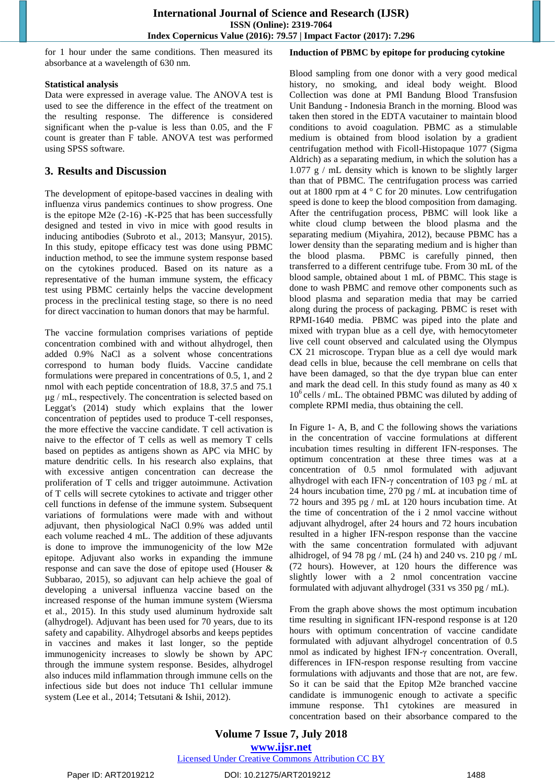for 1 hour under the same conditions. Then measured its absorbance at a wavelength of 630 nm.

## **Statistical analysis**

Data were expressed in average value. The ANOVA test is used to see the difference in the effect of the treatment on the resulting response. The difference is considered significant when the p-value is less than 0.05, and the F count is greater than F table. ANOVA test was performed using SPSS software.

## **3. Results and Discussion**

The development of epitope-based vaccines in dealing with influenza virus pandemics continues to show progress. One is the epitope M2e (2-16) -K-P25 that has been successfully designed and tested in vivo in mice with good results in inducing antibodies (Subroto et al., 2013; Mansyur, 2015). In this study, epitope efficacy test was done using PBMC induction method, to see the immune system response based on the cytokines produced. Based on its nature as a representative of the human immune system, the efficacy test using PBMC certainly helps the vaccine development process in the preclinical testing stage, so there is no need for direct vaccination to human donors that may be harmful.

The vaccine formulation comprises variations of peptide concentration combined with and without alhydrogel, then added 0.9% NaCl as a solvent whose concentrations correspond to human body fluids. Vaccine candidate formulations were prepared in concentrations of 0.5, 1, and 2 nmol with each peptide concentration of 18.8, 37.5 and 75.1 μg / mL, respectively. The concentration is selected based on Leggat's (2014) study which explains that the lower concentration of peptides used to produce T-cell responses, the more effective the vaccine candidate. T cell activation is naive to the effector of T cells as well as memory T cells based on peptides as antigens shown as APC via MHC by mature dendritic cells. In his research also explains, that with excessive antigen concentration can decrease the proliferation of T cells and trigger autoimmune. Activation of T cells will secrete cytokines to activate and trigger other cell functions in defense of the immune system. Subsequent variations of formulations were made with and without adjuvant, then physiological NaCl 0.9% was added until each volume reached 4 mL. The addition of these adjuvants is done to improve the immunogenicity of the low M2e epitope. Adjuvant also works in expanding the immune response and can save the dose of epitope used (Houser & Subbarao, 2015), so adjuvant can help achieve the goal of developing a universal influenza vaccine based on the increased response of the human immune system (Wiersma et al., 2015). In this study used aluminum hydroxide salt (alhydrogel). Adjuvant has been used for 70 years, due to its safety and capability. Alhydrogel absorbs and keeps peptides in vaccines and makes it last longer, so the peptide immunogenicity increases to slowly be shown by APC through the immune system response. Besides, alhydrogel also induces mild inflammation through immune cells on the infectious side but does not induce Th1 cellular immune system (Lee et al., 2014; Tetsutani & Ishii, 2012).

## **Induction of PBMC by epitope for producing cytokine**

Blood sampling from one donor with a very good medical history, no smoking, and ideal body weight. Blood Collection was done at PMI Bandung Blood Transfusion Unit Bandung - Indonesia Branch in the morning. Blood was taken then stored in the EDTA vacutainer to maintain blood conditions to avoid coagulation. PBMC as a stimulable medium is obtained from blood isolation by a gradient centrifugation method with Ficoll-Histopaque 1077 (Sigma Aldrich) as a separating medium, in which the solution has a 1.077 g / mL density which is known to be slightly larger than that of PBMC. The centrifugation process was carried out at 1800 rpm at 4 ° C for 20 minutes. Low centrifugation speed is done to keep the blood composition from damaging. After the centrifugation process, PBMC will look like a white cloud clump between the blood plasma and the separating medium (Miyahira, 2012), because PBMC has a lower density than the separating medium and is higher than the blood plasma. PBMC is carefully pinned, then transferred to a different centrifuge tube. From 30 mL of the blood sample, obtained about 1 mL of PBMC. This stage is done to wash PBMC and remove other components such as blood plasma and separation media that may be carried along during the process of packaging. PBMC is reset with RPMI-1640 media. PBMC was piped into the plate and mixed with trypan blue as a cell dye, with hemocytometer live cell count observed and calculated using the Olympus CX 21 microscope. Trypan blue as a cell dye would mark dead cells in blue, because the cell membrane on cells that have been damaged, so that the dye trypan blue can enter and mark the dead cell. In this study found as many as 40 x  $10^6$  cells / mL. The obtained PBMC was diluted by adding of complete RPMI media, thus obtaining the cell.

In Figure 1- A, B, and C the following shows the variations in the concentration of vaccine formulations at different incubation times resulting in different IFN-responses. The optimum concentration at these three times was at a concentration of 0.5 nmol formulated with adjuvant alhydrogel with each IFN-γ concentration of 103 pg / mL at 24 hours incubation time, 270 pg / mL at incubation time of 72 hours and 395 pg / mL at 120 hours incubation time. At the time of concentration of the i 2 nmol vaccine without adjuvant alhydrogel, after 24 hours and 72 hours incubation resulted in a higher IFN-respon response than the vaccine with the same concentration formulated with adjuvant alhidrogel, of 94 78 pg / mL (24 h) and 240 vs. 210 pg / mL (72 hours). However, at 120 hours the difference was slightly lower with a 2 nmol concentration vaccine formulated with adjuvant alhydrogel (331 vs 350 pg / mL).

From the graph above shows the most optimum incubation time resulting in significant IFN-respond response is at 120 hours with optimum concentration of vaccine candidate formulated with adjuvant alhydrogel concentration of 0.5 nmol as indicated by highest IFN-γ concentration. Overall, differences in IFN-respon response resulting from vaccine formulations with adjuvants and those that are not, are few. So it can be said that the Epitop M2e branched vaccine candidate is immunogenic enough to activate a specific immune response. Th1 cytokines are measured in concentration based on their absorbance compared to the

Paper ID: ART2019212 DOI: 10.21275/ART2019212 1488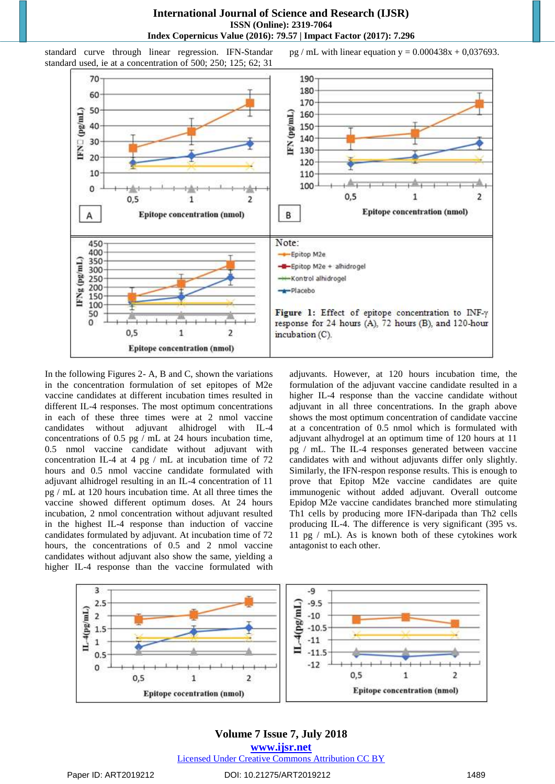

standard curve through linear regression. IFN-Standar standard used, ie at a concentration of 500; 250; 125; 62; 31

pg / mL with linear equation  $y = 0.000438x + 0.037693$ .

In the following Figures 2- A, B and C, shown the variations in the concentration formulation of set epitopes of M2e vaccine candidates at different incubation times resulted in different IL-4 responses. The most optimum concentrations in each of these three times were at 2 nmol vaccine candidates without adjuvant alhidrogel with IL-4 concentrations of 0.5 pg / mL at 24 hours incubation time, 0.5 nmol vaccine candidate without adjuvant with concentration IL-4 at 4 pg / mL at incubation time of 72 hours and 0.5 nmol vaccine candidate formulated with adjuvant alhidrogel resulting in an IL-4 concentration of 11 pg / mL at 120 hours incubation time. At all three times the vaccine showed different optimum doses. At 24 hours incubation, 2 nmol concentration without adjuvant resulted in the highest IL-4 response than induction of vaccine candidates formulated by adjuvant. At incubation time of 72 hours, the concentrations of 0.5 and 2 nmol vaccine candidates without adjuvant also show the same, yielding a higher IL-4 response than the vaccine formulated with adjuvants. However, at 120 hours incubation time, the formulation of the adjuvant vaccine candidate resulted in a higher IL-4 response than the vaccine candidate without adjuvant in all three concentrations. In the graph above shows the most optimum concentration of candidate vaccine at a concentration of 0.5 nmol which is formulated with adjuvant alhydrogel at an optimum time of 120 hours at 11 pg / mL. The IL-4 responses generated between vaccine candidates with and without adjuvants differ only slightly. Similarly, the IFN-respon response results. This is enough to prove that Epitop M2e vaccine candidates are quite immunogenic without added adjuvant. Overall outcome Epidop M2e vaccine candidates branched more stimulating Th1 cells by producing more IFN-daripada than Th2 cells producing IL-4. The difference is very significant (395 vs. 11 pg / mL). As is known both of these cytokines work antagonist to each other.

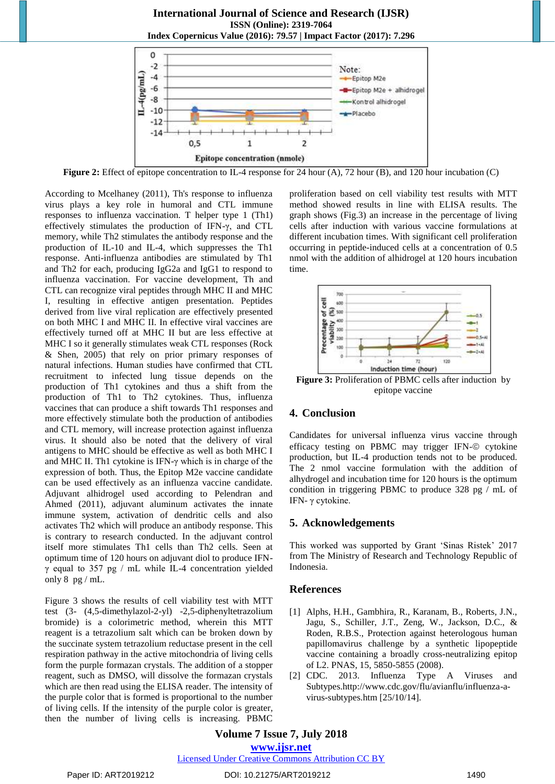## **International Journal of Science and Research (IJSR) ISSN (Online): 2319-7064**





**Figure 2:** Effect of epitope concentration to IL-4 response for 24 hour (A), 72 hour (B), and 120 hour incubation (C)

According to Mcelhaney (2011), Th's response to influenza virus plays a key role in humoral and CTL immune responses to influenza vaccination. T helper type 1 (Th1) effectively stimulates the production of IFN-γ, and CTL memory, while Th2 stimulates the antibody response and the production of IL-10 and IL-4, which suppresses the Th1 response. Anti-influenza antibodies are stimulated by Th1 and Th2 for each, producing IgG2a and IgG1 to respond to influenza vaccination. For vaccine development, Th and CTL can recognize viral peptides through MHC II and MHC I, resulting in effective antigen presentation. Peptides derived from live viral replication are effectively presented on both MHC I and MHC II. In effective viral vaccines are effectively turned off at MHC II but are less effective at MHC I so it generally stimulates weak CTL responses (Rock & Shen, 2005) that rely on prior primary responses of natural infections. Human studies have confirmed that CTL recruitment to infected lung tissue depends on the production of Th1 cytokines and thus a shift from the production of Th1 to Th2 cytokines. Thus, influenza vaccines that can produce a shift towards Th1 responses and more effectively stimulate both the production of antibodies and CTL memory, will increase protection against influenza virus. It should also be noted that the delivery of viral antigens to MHC should be effective as well as both MHC I and MHC II. Th1 cytokine is IFN- $\gamma$  which is in charge of the expression of both. Thus, the Epitop M2e vaccine candidate can be used effectively as an influenza vaccine candidate. Adjuvant alhidrogel used according to Pelendran and Ahmed (2011), adjuvant aluminum activates the innate immune system, activation of dendritic cells and also activates Th2 which will produce an antibody response. This is contrary to research conducted. In the adjuvant control itself more stimulates Th1 cells than Th2 cells. Seen at optimum time of 120 hours on adjuvant diol to produce IFNγ equal to 357 pg / mL while IL-4 concentration yielded only  $8$  pg / mL.

Figure 3 shows the results of cell viability test with MTT test (3- (4,5-dimethylazol-2-yl) -2,5-diphenyltetrazolium bromide) is a colorimetric method, wherein this MTT reagent is a tetrazolium salt which can be broken down by the succinate system tetrazolium reductase present in the cell respiration pathway in the active mitochondria of living cells form the purple formazan crystals. The addition of a stopper reagent, such as DMSO, will dissolve the formazan crystals which are then read using the ELISA reader. The intensity of the purple color that is formed is proportional to the number of living cells. If the intensity of the purple color is greater, then the number of living cells is increasing. PBMC

proliferation based on cell viability test results with MTT method showed results in line with ELISA results. The graph shows (Fig.3) an increase in the percentage of living cells after induction with various vaccine formulations at different incubation times. With significant cell proliferation occurring in peptide-induced cells at a concentration of 0.5 nmol with the addition of alhidrogel at 120 hours incubation time.



**Figure 3:** Proliferation of PBMC cells after induction by epitope vaccine

## **4. Conclusion**

Candidates for universal influenza virus vaccine through efficacy testing on PBMC may trigger IFN-© cytokine production, but IL-4 production tends not to be produced. The 2 nmol vaccine formulation with the addition of alhydrogel and incubation time for 120 hours is the optimum condition in triggering PBMC to produce 328 pg / mL of IFN- γ cytokine.

## **5. Acknowledgements**

This worked was supported by Grant "Sinas Ristek" 2017 from The Ministry of Research and Technology Republic of Indonesia.

## **References**

- [1] Alphs, H.H., Gambhira, R., Karanam, B., Roberts, J.N., Jagu, S., Schiller, J.T., Zeng, W., Jackson, D.C., & Roden, R.B.S., Protection against heterologous human papillomavirus challenge by a synthetic lipopeptide vaccine containing a broadly cross-neutralizing epitop of L2. PNAS, 15, 5850-5855 (2008).
- [2] CDC. 2013. Influenza Type A Viruses and Subtypes.http://www.cdc.gov/flu/avianflu/influenza-avirus-subtypes.htm [25/10/14].

## **Volume 7 Issue 7, July 2018 <www.ijsr.net>**

## [Licensed Under Creative Commons Attribution CC BY](http://creativecommons.org/licenses/by/4.0/)